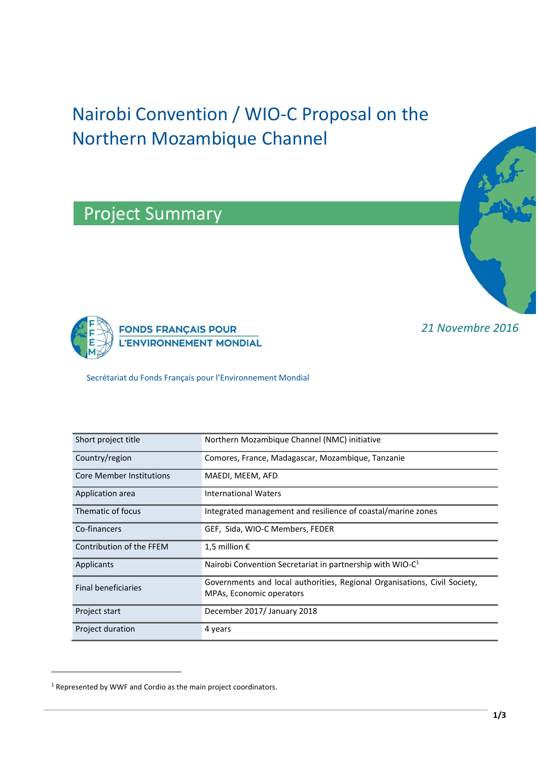# Nairobi Convention / WIO-C Proposal on the Northern Mozambique Channel

Project Summary



*21 Novembre 2016*



Secrétariat du Fonds Français pour l'Environnement Mondial

| Short project title             | Northern Mozambique Channel (NMC) initiative                                                                 |
|---------------------------------|--------------------------------------------------------------------------------------------------------------|
| Country/region                  | Comores, France, Madagascar, Mozambique, Tanzanie                                                            |
| <b>Core Member Institutions</b> | MAEDI, MEEM, AFD                                                                                             |
| Application area                | <b>International Waters</b>                                                                                  |
| Thematic of focus               | Integrated management and resilience of coastal/marine zones                                                 |
| Co-financers                    | GEF, Sida, WIO-C Members, FEDER                                                                              |
| Contribution of the FFEM        | 1,5 million $\epsilon$                                                                                       |
| Applicants                      | Nairobi Convention Secretariat in partnership with WIO-C <sup>1</sup>                                        |
| <b>Final beneficiaries</b>      | Governments and local authorities, Regional Organisations, Civil Society,<br><b>MPAs, Economic operators</b> |
| Project start                   | December 2017/ January 2018                                                                                  |
| Project duration                | 4 years                                                                                                      |

 $\overline{a}$ 

<sup>1</sup> Represented by WWF and Cordio as the main project coordinators.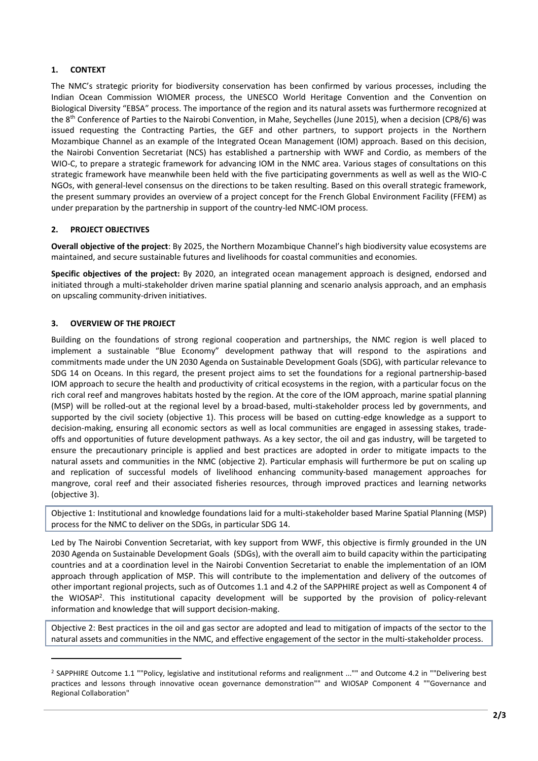## **1. CONTEXT**

The NMC's strategic priority for biodiversity conservation has been confirmed by various processes, including the Indian Ocean Commission WIOMER process, the UNESCO World Heritage Convention and the Convention on Biological Diversity "EBSA" process. The importance of the region and its natural assets was furthermore recognized at the 8th Conference of Parties to the Nairobi Convention, in Mahe, Seychelles (June 2015), when a decision (CP8/6) was issued requesting the Contracting Parties, the GEF and other partners, to support projects in the Northern Mozambique Channel as an example of the Integrated Ocean Management (IOM) approach. Based on this decision, the Nairobi Convention Secretariat (NCS) has established a partnership with WWF and Cordio, as members of the WIO-C, to prepare a strategic framework for advancing IOM in the NMC area. Various stages of consultations on this strategic framework have meanwhile been held with the five participating governments as well as well as the WIO-C NGOs, with general-level consensus on the directions to be taken resulting. Based on this overall strategic framework, the present summary provides an overview of a project concept for the French Global Environment Facility (FFEM) as under preparation by the partnership in support of the country-led NMC-IOM process.

#### **2. PROJECT OBJECTIVES**

**Overall objective of the project**: By 2025, the Northern Mozambique Channel's high biodiversity value ecosystems are maintained, and secure sustainable futures and livelihoods for coastal communities and economies.

**Specific objectives of the project:** By 2020, an integrated ocean management approach is designed, endorsed and initiated through a multi-stakeholder driven marine spatial planning and scenario analysis approach, and an emphasis on upscaling community-driven initiatives.

## **3. OVERVIEW OF THE PROJECT**

 $\overline{a}$ 

Building on the foundations of strong regional cooperation and partnerships, the NMC region is well placed to implement a sustainable "Blue Economy" development pathway that will respond to the aspirations and commitments made under the UN 2030 Agenda on Sustainable Development Goals (SDG), with particular relevance to SDG 14 on Oceans. In this regard, the present project aims to set the foundations for a regional partnership-based IOM approach to secure the health and productivity of critical ecosystems in the region, with a particular focus on the rich coral reef and mangroves habitats hosted by the region. At the core of the IOM approach, marine spatial planning (MSP) will be rolled-out at the regional level by a broad-based, multi-stakeholder process led by governments, and supported by the civil society (objective 1). This process will be based on cutting-edge knowledge as a support to decision-making, ensuring all economic sectors as well as local communities are engaged in assessing stakes, tradeoffs and opportunities of future development pathways. As a key sector, the oil and gas industry, will be targeted to ensure the precautionary principle is applied and best practices are adopted in order to mitigate impacts to the natural assets and communities in the NMC (objective 2). Particular emphasis will furthermore be put on scaling up and replication of successful models of livelihood enhancing community-based management approaches for mangrove, coral reef and their associated fisheries resources, through improved practices and learning networks (objective 3).

Objective 1: Institutional and knowledge foundations laid for a multi-stakeholder based Marine Spatial Planning (MSP) process for the NMC to deliver on the SDGs, in particular SDG 14.

Led by The Nairobi Convention Secretariat, with key support from WWF, this objective is firmly grounded in the UN 2030 Agenda on Sustainable Development Goals (SDGs), with the overall aim to build capacity within the participating countries and at a coordination level in the Nairobi Convention Secretariat to enable the implementation of an IOM approach through application of MSP. This will contribute to the implementation and delivery of the outcomes of other important regional projects, such as of Outcomes 1.1 and 4.2 of the SAPPHIRE project as well as Component 4 of the WIOSAP<sup>2</sup>. This institutional capacity development will be supported by the provision of policy-relevant information and knowledge that will support decision-making.

Objective 2: Best practices in the oil and gas sector are adopted and lead to mitigation of impacts of the sector to the natural assets and communities in the NMC, and effective engagement of the sector in the multi-stakeholder process.

<sup>2</sup> SAPPHIRE Outcome 1.1 ""Policy, legislative and institutional reforms and realignment ..."" and Outcome 4.2 in ""Delivering best practices and lessons through innovative ocean governance demonstration"" and WIOSAP Component 4 ""Governance and Regional Collaboration"